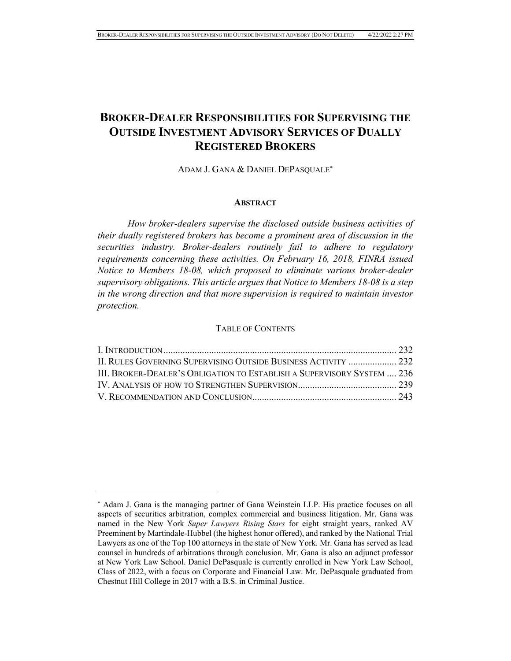# **BROKER-DEALER RESPONSIBILITIES FOR SUPERVISING THE OUTSIDE INVESTMENT ADVISORY SERVICES OF DUALLY REGISTERED BROKERS**

ADAM J. GANA & DANIEL DEPASOUALE<sup>\*</sup>

### **ABSTRACT**

*How broker-dealers supervise the disclosed outside business activities of their dually registered brokers has become a prominent area of discussion in the securities industry. Broker-dealers routinely fail to adhere to regulatory requirements concerning these activities. On February 16, 2018, FINRA issued Notice to Members 18-08, which proposed to eliminate various broker-dealer supervisory obligations. This article argues that Notice to Members 18-08 is a step in the wrong direction and that more supervision is required to maintain investor protection.* 

### TABLE OF CONTENTS

| II. RULES GOVERNING SUPERVISING OUTSIDE BUSINESS ACTIVITY  232         |  |
|------------------------------------------------------------------------|--|
| III. BROKER-DEALER'S OBLIGATION TO ESTABLISH A SUPERVISORY SYSTEM  236 |  |
|                                                                        |  |
|                                                                        |  |

 Adam J. Gana is the managing partner of Gana Weinstein LLP. His practice focuses on all aspects of securities arbitration, complex commercial and business litigation. Mr. Gana was named in the New York *Super Lawyers Rising Stars* for eight straight years, ranked AV Preeminent by Martindale-Hubbel (the highest honor offered), and ranked by the National Trial Lawyers as one of the Top 100 attorneys in the state of New York. Mr. Gana has served as lead counsel in hundreds of arbitrations through conclusion. Mr. Gana is also an adjunct professor at New York Law School. Daniel DePasquale is currently enrolled in New York Law School, Class of 2022, with a focus on Corporate and Financial Law. Mr. DePasquale graduated from Chestnut Hill College in 2017 with a B.S. in Criminal Justice.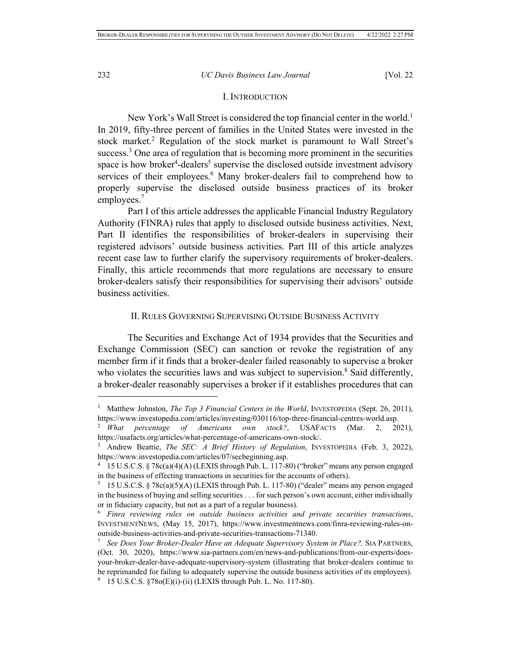## I. INTRODUCTION

New York's Wall Street is considered the top financial center in the world.<sup>1</sup> In 2019, fifty-three percent of families in the United States were invested in the stock market.<sup>2</sup> Regulation of the stock market is paramount to Wall Street's success.<sup>3</sup> One area of regulation that is becoming more prominent in the securities space is how broker<sup>4</sup>-dealers<sup>5</sup> supervise the disclosed outside investment advisory services of their employees.<sup>6</sup> Many broker-dealers fail to comprehend how to properly supervise the disclosed outside business practices of its broker employees.7

Part I of this article addresses the applicable Financial Industry Regulatory Authority (FINRA) rules that apply to disclosed outside business activities. Next, Part II identifies the responsibilities of broker-dealers in supervising their registered advisors' outside business activities. Part III of this article analyzes recent case law to further clarify the supervisory requirements of broker-dealers. Finally, this article recommends that more regulations are necessary to ensure broker-dealers satisfy their responsibilities for supervising their advisors' outside business activities.

## II. RULES GOVERNING SUPERVISING OUTSIDE BUSINESS ACTIVITY

The Securities and Exchange Act of 1934 provides that the Securities and Exchange Commission (SEC) can sanction or revoke the registration of any member firm if it finds that a broker-dealer failed reasonably to supervise a broker who violates the securities laws and was subject to supervision.<sup>8</sup> Said differently, a broker-dealer reasonably supervises a broker if it establishes procedures that can

<sup>&</sup>lt;sup>1</sup> Matthew Johnston, *The Top 3 Financial Centers in the World*, INVESTOPEDIA (Sept. 26, 2011), https://www.investopedia.com/articles/investing/030116/top-three-financial-centres-world.asp. 2 *What percentage of Americans own stock?*, USAFACTS (Mar. 2, 2021),

https://usafacts.org/articles/what-percentage-of-americans-own-stock/. 3 Andrew Beattie, *The SEC: A Brief History of Regulation*, INVESTOPEDIA (Feb. 3, 2022),

https://www.investopedia.com/articles/07/secbeginning.asp.

<sup>4</sup> 15 U.S.C.S. § 78c(a)(4)(A) (LEXIS through Pub. L. 117-80) ("broker" means any person engaged in the business of effecting transactions in securities for the accounts of others).<br>
<sup>5</sup> 15 U.S.C.S. § 78c(a)(5)(A) (LEXIS through Pub. L. 117-80) ("dealer" means any person engaged

in the business of buying and selling securities . . . for such person's own account, either individually or in fiduciary capacity, but not as a part of a regular business).

<sup>6</sup> *Finra reviewing rules on outside business activities and private securities transactions*, INVESTMENTNEWS, (May 15, 2017), https://www.investmentnews.com/finra-reviewing-rules-on-

outside-business-activities-and-private-securities-transactions-71340. 7 *See Does Your Broker-Dealer Have an Adequate Supervisory System in Place?,* SIA PARTNERS, (Oct. 30, 2020), https://www.sia-partners.com/en/news-and-publications/from-our-experts/doesyour-broker-dealer-have-adequate-supervisory-system (illustrating that broker-dealers continue to be reprimanded for failing to adequately supervise the outside business activities of its employees). 8 15 U.S.C.S. §78o(E)(i)-(ii) (LEXIS through Pub. L. No. 117-80).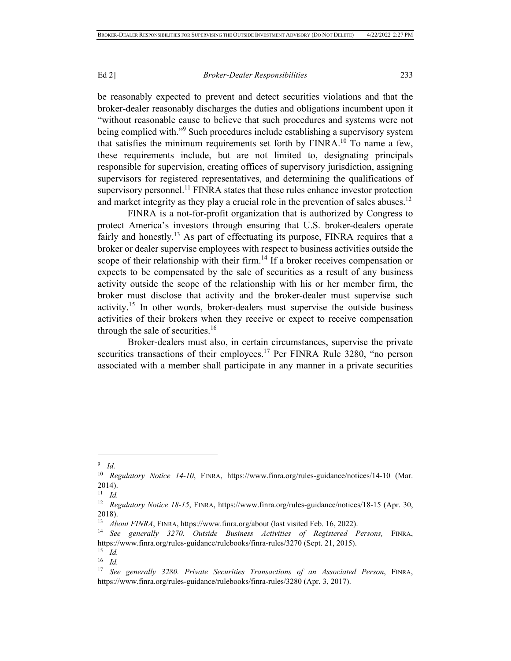be reasonably expected to prevent and detect securities violations and that the broker-dealer reasonably discharges the duties and obligations incumbent upon it "without reasonable cause to believe that such procedures and systems were not being complied with."<sup>9</sup> Such procedures include establishing a supervisory system that satisfies the minimum requirements set forth by  $FINRA$ .<sup>10</sup> To name a few, these requirements include, but are not limited to, designating principals responsible for supervision, creating offices of supervisory jurisdiction, assigning supervisors for registered representatives, and determining the qualifications of supervisory personnel.<sup>11</sup> FINRA states that these rules enhance investor protection and market integrity as they play a crucial role in the prevention of sales abuses.<sup>12</sup>

FINRA is a not-for-profit organization that is authorized by Congress to protect America's investors through ensuring that U.S. broker-dealers operate fairly and honestly.<sup>13</sup> As part of effectuating its purpose, FINRA requires that a broker or dealer supervise employees with respect to business activities outside the scope of their relationship with their firm.<sup>14</sup> If a broker receives compensation or expects to be compensated by the sale of securities as a result of any business activity outside the scope of the relationship with his or her member firm, the broker must disclose that activity and the broker-dealer must supervise such activity.15 In other words, broker-dealers must supervise the outside business activities of their brokers when they receive or expect to receive compensation through the sale of securities.<sup>16</sup>

Broker-dealers must also, in certain circumstances, supervise the private securities transactions of their employees.<sup>17</sup> Per FINRA Rule 3280, "no person associated with a member shall participate in any manner in a private securities

<sup>9</sup> *Id.*

<sup>&</sup>lt;sup>10</sup> *Regulatory Notice 14-10*, FINRA, https://www.finra.org/rules-guidance/notices/14-10 (Mar. 2014).

<sup>11</sup> *Id.*

<sup>&</sup>lt;sup>12</sup> *Regulatory Notice 18-15*, FINRA, https://www.finra.org/rules-guidance/notices/18-15 (Apr. 30, 2018).<br><sup>13</sup> *About FINRA*, FINRA, https://www.finra.org/about (last visited Feb. 16, 2022).

<sup>&</sup>lt;sup>14</sup> See generally 3270. Outside Business Activities of Registered Persons, FINRA, https://www.finra.org/rules-guidance/rulebooks/finra-rules/3270 (Sept. 21, 2015).

 $\frac{15}{16}$  *Id.* 

<sup>16</sup> *Id.*

<sup>17</sup> *See generally 3280. Private Securities Transactions of an Associated Person*, FINRA, https://www.finra.org/rules-guidance/rulebooks/finra-rules/3280 (Apr. 3, 2017).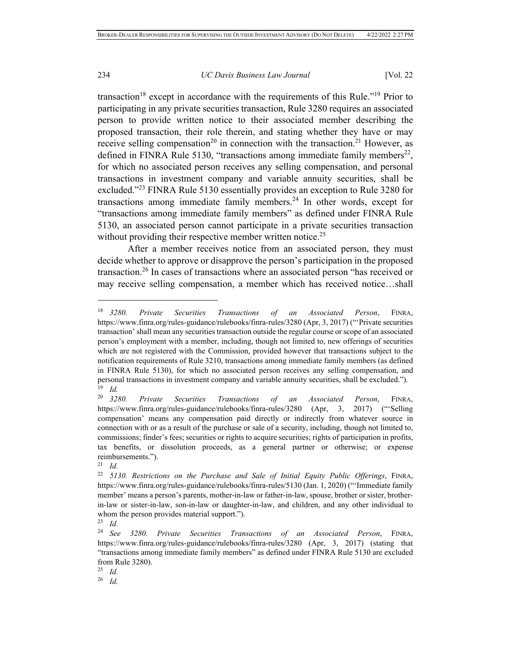transaction<sup>18</sup> except in accordance with the requirements of this Rule."<sup>19</sup> Prior to participating in any private securities transaction, Rule 3280 requires an associated person to provide written notice to their associated member describing the proposed transaction, their role therein, and stating whether they have or may receive selling compensation<sup>20</sup> in connection with the transaction.<sup>21</sup> However, as defined in FINRA Rule 5130, "transactions among immediate family members<sup>22</sup>, for which no associated person receives any selling compensation, and personal transactions in investment company and variable annuity securities, shall be excluded."23 FINRA Rule 5130 essentially provides an exception to Rule 3280 for transactions among immediate family members. $24$  In other words, except for "transactions among immediate family members" as defined under FINRA Rule 5130, an associated person cannot participate in a private securities transaction without providing their respective member written notice.<sup>25</sup>

After a member receives notice from an associated person, they must decide whether to approve or disapprove the person's participation in the proposed transaction.26 In cases of transactions where an associated person "has received or may receive selling compensation, a member which has received notice…shall

<sup>21</sup> *Id.*

<sup>25</sup> *Id.*

<sup>26</sup> *Id.*

<sup>18</sup> *3280. Private Securities Transactions of an Associated Person*, FINRA, https://www.finra.org/rules-guidance/rulebooks/finra-rules/3280 (Apr, 3, 2017) ("'Private securities transaction' shall mean any securities transaction outside the regular course or scope of an associated person's employment with a member, including, though not limited to, new offerings of securities which are not registered with the Commission, provided however that transactions subject to the notification requirements of Rule 3210, transactions among immediate family members (as defined in FINRA Rule 5130), for which no associated person receives any selling compensation, and personal transactions in investment company and variable annuity securities, shall be excluded."). 19 *Id.*

<sup>20</sup> *3280. Private Securities Transactions of an Associated Person*, FINRA, https://www.finra.org/rules-guidance/rulebooks/finra-rules/3280 (Apr, 3, 2017) ("'Selling compensation' means any compensation paid directly or indirectly from whatever source in connection with or as a result of the purchase or sale of a security, including, though not limited to, commissions; finder's fees; securities or rights to acquire securities; rights of participation in profits, tax benefits, or dissolution proceeds, as a general partner or otherwise; or expense reimbursements.").

<sup>22</sup> *5130. Restrictions on the Purchase and Sale of Initial Equity Public Offerings*, FINRA, https://www.finra.org/rules-guidance/rulebooks/finra-rules/5130 (Jan. 1, 2020) ("'Immediate family member' means a person's parents, mother-in-law or father-in-law, spouse, brother or sister, brotherin-law or sister-in-law, son-in-law or daughter-in-law, and children, and any other individual to whom the person provides material support.").

<sup>23</sup> *Id.*

<sup>24</sup> *See 3280. Private Securities Transactions of an Associated Person*, FINRA, https://www.finra.org/rules-guidance/rulebooks/finra-rules/3280 (Apr, 3, 2017) (stating that "transactions among immediate family members" as defined under FINRA Rule 5130 are excluded from Rule 3280).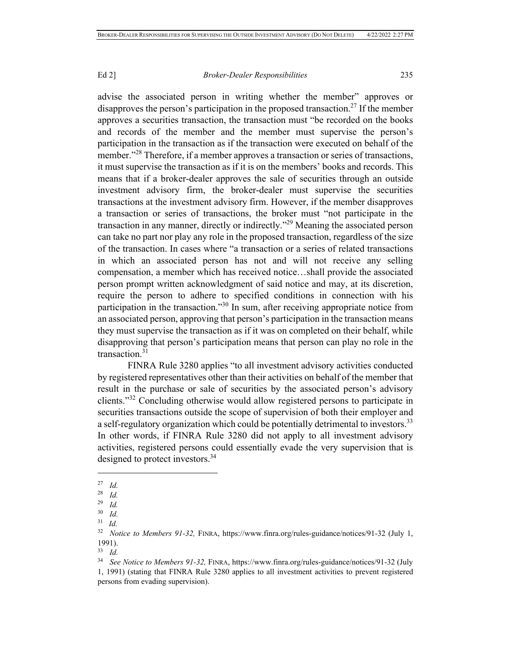advise the associated person in writing whether the member" approves or disapproves the person's participation in the proposed transaction.<sup>27</sup> If the member approves a securities transaction, the transaction must "be recorded on the books and records of the member and the member must supervise the person's participation in the transaction as if the transaction were executed on behalf of the member."<sup>28</sup> Therefore, if a member approves a transaction or series of transactions, it must supervise the transaction as if it is on the members' books and records. This means that if a broker-dealer approves the sale of securities through an outside investment advisory firm, the broker-dealer must supervise the securities transactions at the investment advisory firm. However, if the member disapproves a transaction or series of transactions, the broker must "not participate in the transaction in any manner, directly or indirectly."29 Meaning the associated person can take no part nor play any role in the proposed transaction, regardless of the size of the transaction. In cases where "a transaction or a series of related transactions in which an associated person has not and will not receive any selling compensation, a member which has received notice…shall provide the associated person prompt written acknowledgment of said notice and may, at its discretion, require the person to adhere to specified conditions in connection with his participation in the transaction."30 In sum, after receiving appropriate notice from an associated person, approving that person's participation in the transaction means they must supervise the transaction as if it was on completed on their behalf, while disapproving that person's participation means that person can play no role in the transaction.31

FINRA Rule 3280 applies "to all investment advisory activities conducted by registered representatives other than their activities on behalf of the member that result in the purchase or sale of securities by the associated person's advisory clients."32 Concluding otherwise would allow registered persons to participate in securities transactions outside the scope of supervision of both their employer and a self-regulatory organization which could be potentially detrimental to investors.<sup>33</sup> In other words, if FINRA Rule 3280 did not apply to all investment advisory activities, registered persons could essentially evade the very supervision that is designed to protect investors.<sup>34</sup>

 $\frac{27}{28}$  *Id.* 

<sup>28</sup> *Id.*

<sup>29</sup> *Id.*

 $\frac{30}{31}$  *Id.* 

<sup>31</sup> *Id.*

<sup>32</sup> *Notice to Members 91-32,* FINRA, https://www.finra.org/rules-guidance/notices/91-32 (July 1, 1991).

<sup>33</sup> *Id.*

<sup>34</sup> *See Notice to Members 91-32,* FINRA, https://www.finra.org/rules-guidance/notices/91-32 (July 1, 1991) (stating that FINRA Rule 3280 applies to all investment activities to prevent registered persons from evading supervision).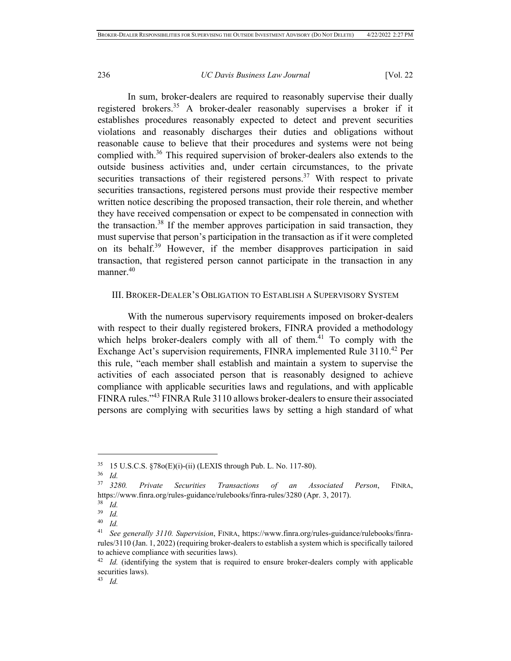In sum, broker-dealers are required to reasonably supervise their dually registered brokers.35 A broker-dealer reasonably supervises a broker if it establishes procedures reasonably expected to detect and prevent securities violations and reasonably discharges their duties and obligations without reasonable cause to believe that their procedures and systems were not being complied with.<sup>36</sup> This required supervision of broker-dealers also extends to the outside business activities and, under certain circumstances, to the private securities transactions of their registered persons.<sup>37</sup> With respect to private securities transactions, registered persons must provide their respective member written notice describing the proposed transaction, their role therein, and whether they have received compensation or expect to be compensated in connection with the transaction.<sup>38</sup> If the member approves participation in said transaction, they must supervise that person's participation in the transaction as if it were completed on its behalf.39 However, if the member disapproves participation in said transaction, that registered person cannot participate in the transaction in any manner.<sup>40</sup>

## III. BROKER-DEALER'S OBLIGATION TO ESTABLISH A SUPERVISORY SYSTEM

With the numerous supervisory requirements imposed on broker-dealers with respect to their dually registered brokers, FINRA provided a methodology which helps broker-dealers comply with all of them. $41$  To comply with the Exchange Act's supervision requirements, FINRA implemented Rule 3110.<sup>42</sup> Per this rule, "each member shall establish and maintain a system to supervise the activities of each associated person that is reasonably designed to achieve compliance with applicable securities laws and regulations, and with applicable FINRA rules."43 FINRA Rule 3110 allows broker-dealers to ensure their associated persons are complying with securities laws by setting a high standard of what

<sup>35</sup> 15 U.S.C.S. §78o(E)(i)-(ii) (LEXIS through Pub. L. No. 117-80). 36 *Id.*

<sup>37</sup> *3280. Private Securities Transactions of an Associated Person*, FINRA, https://www.finra.org/rules-guidance/rulebooks/finra-rules/3280 (Apr. 3, 2017).

 $rac{38}{39}$  *Id.* 

 $\frac{39}{40}$  *Id.* 

<sup>40</sup> *Id.*

<sup>41</sup> *See generally 3110. Supervision*, FINRA, https://www.finra.org/rules-guidance/rulebooks/finrarules/3110 (Jan. 1, 2022) (requiring broker-dealers to establish a system which is specifically tailored to achieve compliance with securities laws).

<sup>&</sup>lt;sup>42</sup> *Id.* (identifying the system that is required to ensure broker-dealers comply with applicable securities laws).

<sup>43</sup> *Id.*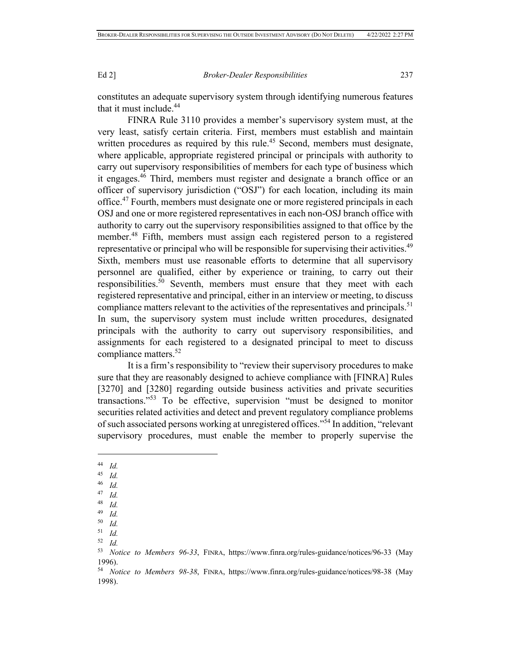constitutes an adequate supervisory system through identifying numerous features that it must include.<sup>44</sup>

FINRA Rule 3110 provides a member's supervisory system must, at the very least, satisfy certain criteria. First, members must establish and maintain written procedures as required by this rule.<sup>45</sup> Second, members must designate, where applicable, appropriate registered principal or principals with authority to carry out supervisory responsibilities of members for each type of business which it engages.46 Third, members must register and designate a branch office or an officer of supervisory jurisdiction ("OSJ") for each location, including its main office.47 Fourth, members must designate one or more registered principals in each OSJ and one or more registered representatives in each non-OSJ branch office with authority to carry out the supervisory responsibilities assigned to that office by the member.48 Fifth, members must assign each registered person to a registered representative or principal who will be responsible for supervising their activities.<sup>49</sup> Sixth, members must use reasonable efforts to determine that all supervisory personnel are qualified, either by experience or training, to carry out their responsibilities.<sup>50</sup> Seventh, members must ensure that they meet with each registered representative and principal, either in an interview or meeting, to discuss compliance matters relevant to the activities of the representatives and principals.<sup>51</sup> In sum, the supervisory system must include written procedures, designated principals with the authority to carry out supervisory responsibilities, and assignments for each registered to a designated principal to meet to discuss compliance matters.<sup>52</sup>

It is a firm's responsibility to "review their supervisory procedures to make sure that they are reasonably designed to achieve compliance with [FINRA] Rules [3270] and [3280] regarding outside business activities and private securities transactions."53 To be effective, supervision "must be designed to monitor securities related activities and detect and prevent regulatory compliance problems of such associated persons working at unregistered offices."54 In addition, "relevant supervisory procedures, must enable the member to properly supervise the

- <sup>45</sup> *Id.*
- <sup>46</sup> *Id.*
- $\frac{47}{48}$  *Id.*
- $\frac{48}{49}$  *Id.*
- <sup>49</sup> *Id.*
- <sup>50</sup> *Id.*
- <sup>51</sup> *Id.*
- $\frac{52}{53}$  *Id.*

<sup>44</sup> *Id.*

<sup>53</sup> *Notice to Members 96-33*, FINRA, https://www.finra.org/rules-guidance/notices/96-33 (May 1996).

<sup>54</sup> *Notice to Members 98-38*, FINRA, https://www.finra.org/rules-guidance/notices/98-38 (May 1998).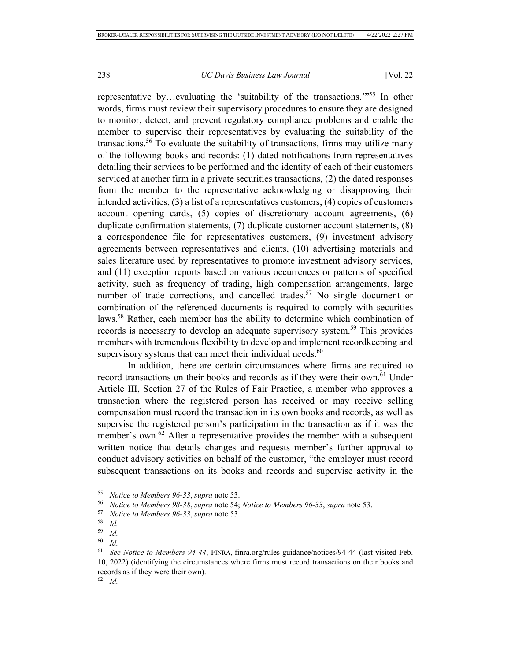representative by…evaluating the 'suitability of the transactions.'"55 In other words, firms must review their supervisory procedures to ensure they are designed to monitor, detect, and prevent regulatory compliance problems and enable the member to supervise their representatives by evaluating the suitability of the transactions.56 To evaluate the suitability of transactions, firms may utilize many of the following books and records: (1) dated notifications from representatives detailing their services to be performed and the identity of each of their customers serviced at another firm in a private securities transactions, (2) the dated responses from the member to the representative acknowledging or disapproving their intended activities, (3) a list of a representatives customers, (4) copies of customers account opening cards, (5) copies of discretionary account agreements, (6) duplicate confirmation statements, (7) duplicate customer account statements, (8) a correspondence file for representatives customers, (9) investment advisory agreements between representatives and clients, (10) advertising materials and sales literature used by representatives to promote investment advisory services, and (11) exception reports based on various occurrences or patterns of specified activity, such as frequency of trading, high compensation arrangements, large number of trade corrections, and cancelled trades.<sup>57</sup> No single document or combination of the referenced documents is required to comply with securities laws.58 Rather, each member has the ability to determine which combination of records is necessary to develop an adequate supervisory system.<sup>59</sup> This provides members with tremendous flexibility to develop and implement recordkeeping and supervisory systems that can meet their individual needs. $60$ 

In addition, there are certain circumstances where firms are required to record transactions on their books and records as if they were their own.<sup>61</sup> Under Article III, Section 27 of the Rules of Fair Practice, a member who approves a transaction where the registered person has received or may receive selling compensation must record the transaction in its own books and records, as well as supervise the registered person's participation in the transaction as if it was the member's own. $62$  After a representative provides the member with a subsequent written notice that details changes and requests member's further approval to conduct advisory activities on behalf of the customer, "the employer must record subsequent transactions on its books and records and supervise activity in the

<sup>&</sup>lt;sup>55</sup> Notice to Members 96-33, supra note 53.<br><sup>56</sup> Notice to Members 98-38, supra note 54; Notice to Members 96-33, supra note 53.<br><sup>57</sup> Notice to Members 96-33, supra note 53.<br><sup>58</sup> Id

<sup>59</sup> *Id.*

 $\begin{array}{cc} 60 & Id. \\ 61 & So. \end{array}$ 

<sup>61</sup> *See Notice to Members 94-44*, FINRA, finra.org/rules-guidance/notices/94-44 (last visited Feb. 10, 2022) (identifying the circumstances where firms must record transactions on their books and records as if they were their own).

<sup>62</sup> *Id.*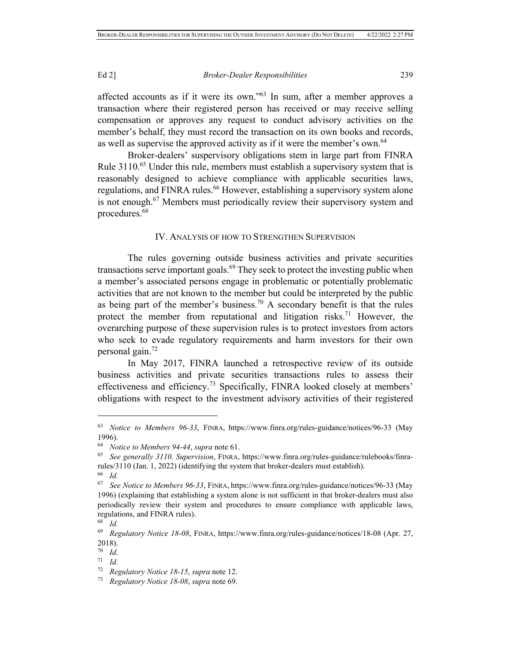affected accounts as if it were its own."63 In sum, after a member approves a transaction where their registered person has received or may receive selling compensation or approves any request to conduct advisory activities on the member's behalf, they must record the transaction on its own books and records, as well as supervise the approved activity as if it were the member's own.<sup>64</sup>

Broker-dealers' suspervisory obligations stem in large part from FINRA Rule 3110.<sup>65</sup> Under this rule, members must establish a supervisory system that is reasonably designed to achieve compliance with applicable securities laws, regulations, and FINRA rules.<sup>66</sup> However, establishing a supervisory system alone is not enough.67 Members must periodically review their supervisory system and procedures.68

## IV. ANALYSIS OF HOW TO STRENGTHEN SUPERVISION

The rules governing outside business activities and private securities transactions serve important goals. $69$  They seek to protect the investing public when a member's associated persons engage in problematic or potentially problematic activities that are not known to the member but could be interpreted by the public as being part of the member's business.<sup>70</sup> A secondary benefit is that the rules protect the member from reputational and litigation risks.<sup>71</sup> However, the overarching purpose of these supervision rules is to protect investors from actors who seek to evade regulatory requirements and harm investors for their own personal gain.<sup>72</sup>

In May 2017, FINRA launched a retrospective review of its outside business activities and private securities transactions rules to assess their effectiveness and efficiency.73 Specifically, FINRA looked closely at members' obligations with respect to the investment advisory activities of their registered

<sup>63</sup> *Notice to Members 96-33*, FINRA, https://www.finra.org/rules-guidance/notices/96-33 (May 1996).

<sup>64</sup> *Notice to Members 94-44*, *supra* note 61. 65 *See generally 3110. Supervision*, FINRA, https://www.finra.org/rules-guidance/rulebooks/finrarules/3110 (Jan. 1, 2022) (identifying the system that broker-dealers must establish).

<sup>66</sup> *Id.*

<sup>67</sup> *See Notice to Members 96-33*, FINRA, https://www.finra.org/rules-guidance/notices/96-33 (May 1996) (explaining that establishing a system alone is not sufficient in that broker-dealers must also periodically review their system and procedures to ensure compliance with applicable laws, regulations, and FINRA rules).

<sup>68</sup> *Id.*

<sup>69</sup> *Regulatory Notice 18-08*, FINRA, https://www.finra.org/rules-guidance/notices/18-08 (Apr. 27, 2018).

<sup>70</sup> *Id.*

<sup>71</sup> *Id.*

<sup>72</sup> *Regulatory Notice 18-15*, *supra* note 12. 73 *Regulatory Notice 18-08*, *supra* note 69.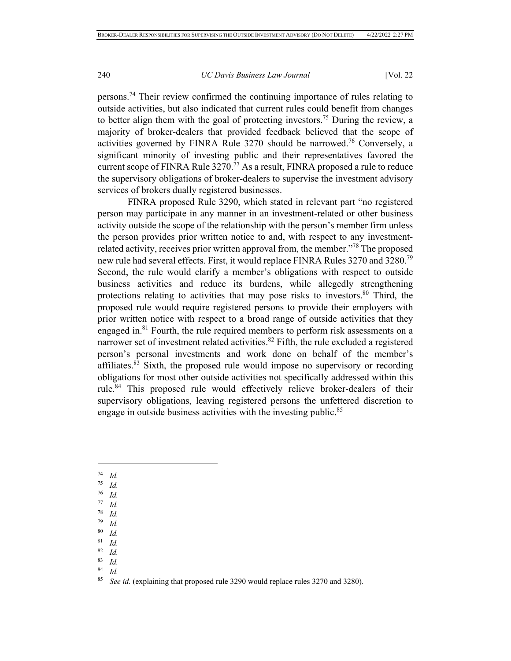persons.74 Their review confirmed the continuing importance of rules relating to outside activities, but also indicated that current rules could benefit from changes to better align them with the goal of protecting investors.<sup>75</sup> During the review, a majority of broker-dealers that provided feedback believed that the scope of activities governed by FINRA Rule 3270 should be narrowed.76 Conversely, a significant minority of investing public and their representatives favored the current scope of FINRA Rule 3270.<sup>77</sup> As a result, FINRA proposed a rule to reduce the supervisory obligations of broker-dealers to supervise the investment advisory services of brokers dually registered businesses.

FINRA proposed Rule 3290, which stated in relevant part "no registered person may participate in any manner in an investment-related or other business activity outside the scope of the relationship with the person's member firm unless the person provides prior written notice to and, with respect to any investmentrelated activity, receives prior written approval from, the member."78 The proposed new rule had several effects. First, it would replace FINRA Rules 3270 and 3280.79 Second, the rule would clarify a member's obligations with respect to outside business activities and reduce its burdens, while allegedly strengthening protections relating to activities that may pose risks to investors.<sup>80</sup> Third, the proposed rule would require registered persons to provide their employers with prior written notice with respect to a broad range of outside activities that they engaged in.<sup>81</sup> Fourth, the rule required members to perform risk assessments on a narrower set of investment related activities.<sup>82</sup> Fifth, the rule excluded a registered person's personal investments and work done on behalf of the member's affiliates.<sup>83</sup> Sixth, the proposed rule would impose no supervisory or recording obligations for most other outside activities not specifically addressed within this rule.<sup>84</sup> This proposed rule would effectively relieve broker-dealers of their supervisory obligations, leaving registered persons the unfettered discretion to engage in outside business activities with the investing public.<sup>85</sup>

- $\frac{75}{76}$  *Id.*
- $rac{76}{77}$  *Id.*
- $\frac{77}{78}$  *Id.*
- $\frac{78}{79}$  *Id.*
- *Id.* <sup>80</sup> *Id.*
- 
- $\frac{81}{82}$  *Id.*
- $\frac{82}{83}$  *Id.* <sup>83</sup> *Id.*
- $rac{84}{85}$  *Id.*

 $\frac{74}{75}$  *Id.* 

See id. (explaining that proposed rule 3290 would replace rules 3270 and 3280).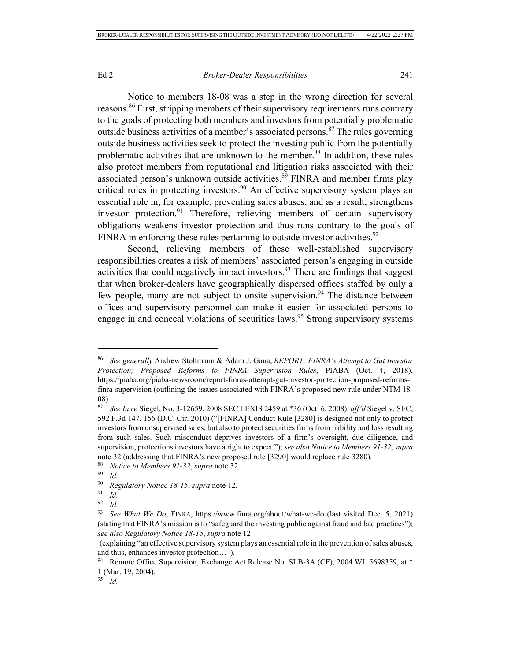Notice to members 18-08 was a step in the wrong direction for several reasons.86 First, stripping members of their supervisory requirements runs contrary to the goals of protecting both members and investors from potentially problematic outside business activities of a member's associated persons.<sup>87</sup> The rules governing outside business activities seek to protect the investing public from the potentially problematic activities that are unknown to the member.<sup>88</sup> In addition, these rules also protect members from reputational and litigation risks associated with their associated person's unknown outside activities.<sup>89</sup> FINRA and member firms play critical roles in protecting investors.<sup>90</sup> An effective supervisory system plays an essential role in, for example, preventing sales abuses, and as a result, strengthens investor protection.<sup>91</sup> Therefore, relieving members of certain supervisory obligations weakens investor protection and thus runs contrary to the goals of FINRA in enforcing these rules pertaining to outside investor activities.<sup>92</sup>

Second, relieving members of these well-established supervisory responsibilities creates a risk of members' associated person's engaging in outside activities that could negatively impact investors.<sup>93</sup> There are findings that suggest that when broker-dealers have geographically dispersed offices staffed by only a few people, many are not subject to onsite supervision.<sup>94</sup> The distance between offices and supervisory personnel can make it easier for associated persons to engage in and conceal violations of securities laws.<sup>95</sup> Strong supervisory systems

<sup>95</sup> *Id.*

<sup>86</sup> *See generally* Andrew Stoltmann & Adam J. Gana, *REPORT: FINRA's Attempt to Gut Investor Protection; Proposed Reforms to FINRA Supervision Rules*, PIABA (Oct. 4, 2018), https://piaba.org/piaba-newsroom/report-finras-attempt-gut-investor-protection-proposed-reformsfinra-supervision (outlining the issues associated with FINRA's proposed new rule under NTM 18-  $\frac{08}{87}$ .

<sup>87</sup> *See In re* Siegel, No. 3-12659, 2008 SEC LEXIS 2459 at \*36 (Oct. 6, 2008), *aff'd* Siegel v. SEC, 592 F.3d 147, 156 (D.C. Cir. 2010) ("[FINRA] Conduct Rule [3280] is designed not only to protect investors from unsupervised sales, but also to protect securities firms from liability and loss resulting from such sales. Such misconduct deprives investors of a firm's oversight, due diligence, and supervision, protections investors have a right to expect."); *see also Notice to Members 91-32*, *supra*  note 32 (addressing that FINRA's new proposed rule [3290] would replace rule 3280).

<sup>88</sup> *Notice to Members 91-32*, *supra* note 32. 89 *Id.*

<sup>90</sup> *Regulatory Notice 18-15*, *supra* note 12. 91 *Id.*

*Id.* 

<sup>93</sup> *See What We Do*, FINRA, https://www.finra.org/about/what-we-do (last visited Dec. 5, 2021) (stating that FINRA's mission is to "safeguard the investing public against fraud and bad practices"); *see also Regulatory Notice 18-15*, *supra* note 12

 <sup>(</sup>explaining "an effective supervisory system plays an essential role in the prevention of sales abuses, and thus, enhances investor protection…").

<sup>&</sup>lt;sup>94</sup> Remote Office Supervision, Exchange Act Release No. SLB-3A (CF), 2004 WL 5698359, at \* 1 (Mar. 19, 2004).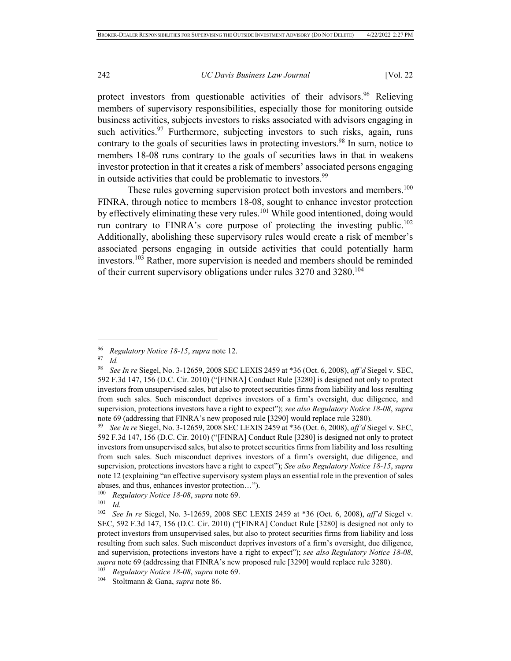protect investors from questionable activities of their advisors.<sup>96</sup> Relieving members of supervisory responsibilities, especially those for monitoring outside business activities, subjects investors to risks associated with advisors engaging in such activities.<sup>97</sup> Furthermore, subjecting investors to such risks, again, runs contrary to the goals of securities laws in protecting investors.<sup>98</sup> In sum, notice to members 18-08 runs contrary to the goals of securities laws in that in weakens investor protection in that it creates a risk of members' associated persons engaging in outside activities that could be problematic to investors.<sup>99</sup>

These rules governing supervision protect both investors and members.<sup>100</sup> FINRA, through notice to members 18-08, sought to enhance investor protection by effectively eliminating these very rules.<sup>101</sup> While good intentioned, doing would run contrary to FINRA's core purpose of protecting the investing public.<sup>102</sup> Additionally, abolishing these supervisory rules would create a risk of member's associated persons engaging in outside activities that could potentially harm investors.103 Rather, more supervision is needed and members should be reminded of their current supervisory obligations under rules 3270 and 3280.104

100 *Regulatory Notice 18-08, supra* note 69.<br>
101 *Id.*<br>
102 *See In re* Siegel No. 3-12659 2008 SE

<sup>96</sup> *Regulatory Notice 18-15*, *supra* note 12. 97 *Id.*

<sup>98</sup> *See In re* Siegel, No. 3-12659, 2008 SEC LEXIS 2459 at \*36 (Oct. 6, 2008), *aff'd* Siegel v. SEC, 592 F.3d 147, 156 (D.C. Cir. 2010) ("[FINRA] Conduct Rule [3280] is designed not only to protect investors from unsupervised sales, but also to protect securities firms from liability and loss resulting from such sales. Such misconduct deprives investors of a firm's oversight, due diligence, and supervision, protections investors have a right to expect"); *see also Regulatory Notice 18-08*, *supra*  note 69 (addressing that FINRA's new proposed rule [3290] would replace rule 3280).

<sup>99</sup> *See In re* Siegel, No. 3-12659, 2008 SEC LEXIS 2459 at \*36 (Oct. 6, 2008), *aff'd* Siegel v. SEC, 592 F.3d 147, 156 (D.C. Cir. 2010) ("[FINRA] Conduct Rule [3280] is designed not only to protect investors from unsupervised sales, but also to protect securities firms from liability and loss resulting from such sales. Such misconduct deprives investors of a firm's oversight, due diligence, and supervision, protections investors have a right to expect"); *See also Regulatory Notice 18-15*, *supra*  note 12 (explaining "an effective supervisory system plays an essential role in the prevention of sales abuses, and thus, enhances investor protection...").<br> $^{100}$  Regulatory Notice 18-08, supra pote 69

<sup>102</sup> *See In re* Siegel, No. 3-12659, 2008 SEC LEXIS 2459 at \*36 (Oct. 6, 2008), *aff'd* Siegel v. SEC, 592 F.3d 147, 156 (D.C. Cir. 2010) ("[FINRA] Conduct Rule [3280] is designed not only to protect investors from unsupervised sales, but also to protect securities firms from liability and loss resulting from such sales. Such misconduct deprives investors of a firm's oversight, due diligence, and supervision, protections investors have a right to expect"); *see also Regulatory Notice 18-08*, *supra* note 69 (addressing that FINRA's new proposed rule [3290] would replace rule 3280). 103 *Regulatory Notice 18-08*, *supra* note 69. 104 Stoltmann & Gana, *supra* note 86.